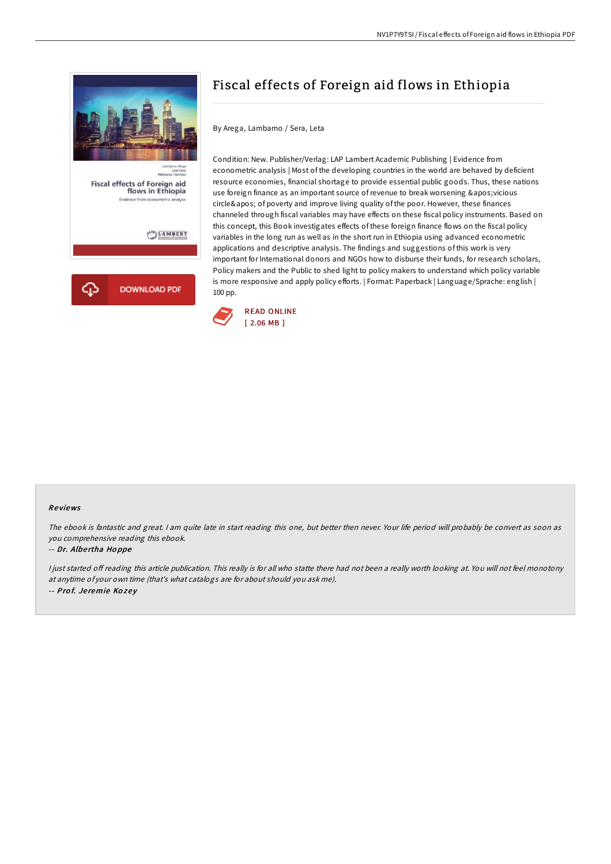

# Fiscal effects of Foreign aid flows in Ethiopia

By Arega, Lambamo / Sera, Leta

Condition: New. Publisher/Verlag: LAP Lambert Academic Publishing | Evidence from econometric analysis | Most of the developing countries in the world are behaved by deficient resource economies, financial shortage to provide essential public goods. Thus, these nations use foreign finance as an important source of revenue to break worsening 'vicious circle' of poverty and improve living quality of the poor. However, these finances channeled through fiscal variables may have effects on these fiscal policy instruments. Based on this concept, this Book investigates effects of these foreign finance flows on the fiscal policy variables in the long run as well as in the short run in Ethiopia using advanced econometric applications and descriptive analysis. The findings and suggestions of this work is very important for International donors and NGOs how to disburse their funds, for research scholars, Policy makers and the Public to shed light to policy makers to understand which policy variable is more responsive and apply policy efforts. | Format: Paperback | Language/Sprache: english | 100 pp.



### Re views

The ebook is fantastic and great. <sup>I</sup> am quite late in start reading this one, but better then never. Your life period will probably be convert as soon as you comprehensive reading this ebook.

#### -- Dr. Albe rtha Ho ppe

I just started off reading this article publication. This really is for all who statte there had not been a really worth looking at. You will not feel monotony at anytime of your own time (that's what catalogs are for about should you ask me). -- Prof. Jeremie Kozey